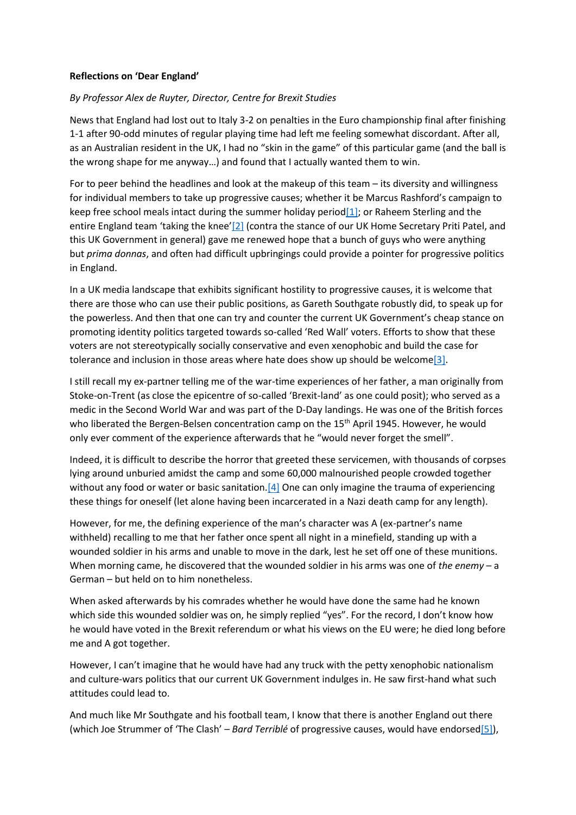## **Reflections on 'Dear England'**

## *By Professor Alex de Ruyter, Director, Centre for Brexit Studies*

News that England had lost out to Italy 3-2 on penalties in the Euro championship final after finishing 1-1 after 90-odd minutes of regular playing time had left me feeling somewhat discordant. After all, as an Australian resident in the UK, I had no "skin in the game" of this particular game (and the ball is the wrong shape for me anyway…) and found that I actually wanted them to win.

For to peer behind the headlines and look at the makeup of this team – its diversity and willingness for individual members to take up progressive causes; whether it be Marcus Rashford's campaign to keep free school meals intact during the summer holiday period $[1]$ ; or Raheem Sterling and the entire England team 'taking the knee'[\[2\]](https://centreforbrexitstudiesblog.wordpress.com/2021/07/13/reflections-on-dear-england/#_ftn2) (contra the stance of our UK Home Secretary Priti Patel, and this UK Government in general) gave me renewed hope that a bunch of guys who were anything but *prima donnas*, and often had difficult upbringings could provide a pointer for progressive politics in England.

In a UK media landscape that exhibits significant hostility to progressive causes, it is welcome that there are those who can use their public positions, as Gareth Southgate robustly did, to speak up for the powerless. And then that one can try and counter the current UK Government's cheap stance on promoting identity politics targeted towards so-called 'Red Wall' voters. Efforts to show that these voters are not stereotypically socially conservative and even xenophobic and build the case for tolerance and inclusion in those areas where hate does show up should be welcom[e\[3\].](https://centreforbrexitstudiesblog.wordpress.com/2021/07/13/reflections-on-dear-england/#_ftn3)

I still recall my ex-partner telling me of the war-time experiences of her father, a man originally from Stoke-on-Trent (as close the epicentre of so-called 'Brexit-land' as one could posit); who served as a medic in the Second World War and was part of the D-Day landings. He was one of the British forces who liberated the Bergen-Belsen concentration camp on the 15<sup>th</sup> April 1945. However, he would only ever comment of the experience afterwards that he "would never forget the smell".

Indeed, it is difficult to describe the horror that greeted these servicemen, with thousands of corpses lying around unburied amidst the camp and some 60,000 malnourished people crowded together without any food or water or basic sanitation[.\[4\]](https://centreforbrexitstudiesblog.wordpress.com/2021/07/13/reflections-on-dear-england/#_ftn4) One can only imagine the trauma of experiencing these things for oneself (let alone having been incarcerated in a Nazi death camp for any length).

However, for me, the defining experience of the man's character was A (ex-partner's name withheld) recalling to me that her father once spent all night in a minefield, standing up with a wounded soldier in his arms and unable to move in the dark, lest he set off one of these munitions. When morning came, he discovered that the wounded soldier in his arms was one of *the enemy* – a German – but held on to him nonetheless.

When asked afterwards by his comrades whether he would have done the same had he known which side this wounded soldier was on, he simply replied "yes". For the record, I don't know how he would have voted in the Brexit referendum or what his views on the EU were; he died long before me and A got together.

However, I can't imagine that he would have had any truck with the petty xenophobic nationalism and culture-wars politics that our current UK Government indulges in. He saw first-hand what such attitudes could lead to.

And much like Mr Southgate and his football team, I know that there is another England out there (which Joe Strummer of 'The Clash' – *Bard Terriblé* of progressive causes, would have endorse[d\[5\]\)](https://centreforbrexitstudiesblog.wordpress.com/2021/07/13/reflections-on-dear-england/#_ftn5),